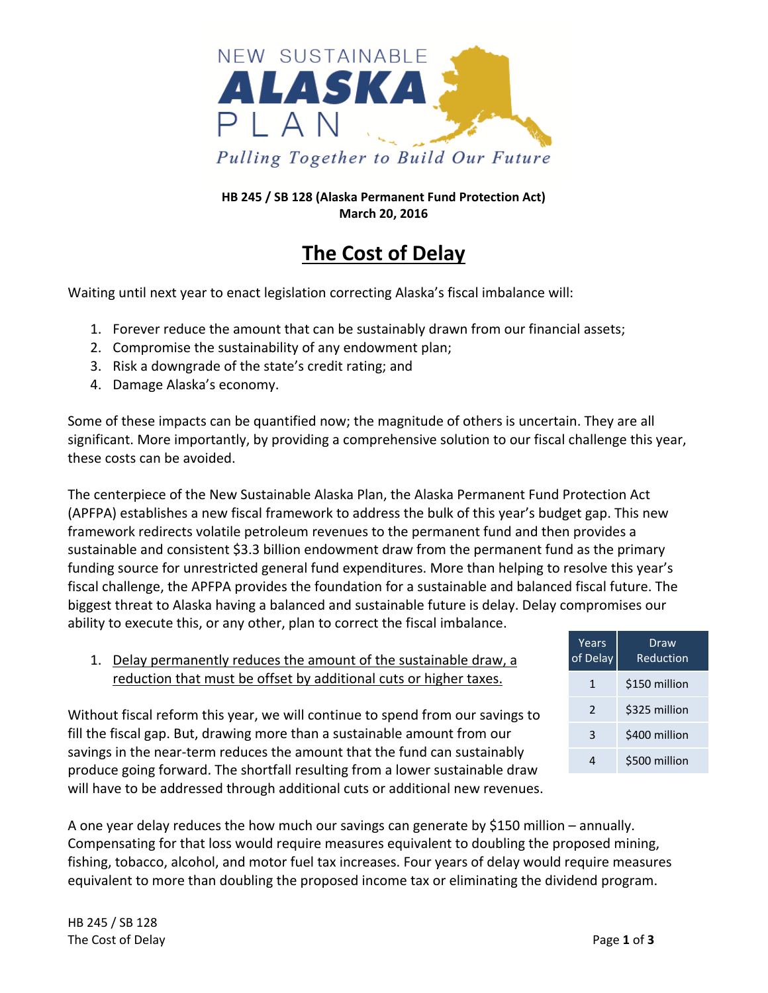

#### **HB 245 / SB 128 (Alaska Permanent Fund Protection Act) March 20, 2016**

# **The Cost of Delay**

Waiting until next year to enact legislation correcting Alaska's fiscal imbalance will:

- 1. Forever reduce the amount that can be sustainably drawn from our financial assets;
- 2. Compromise the sustainability of any endowment plan;
- 3. Risk a downgrade of the state's credit rating; and
- 4. Damage Alaska's economy.

Some of these impacts can be quantified now; the magnitude of others is uncertain. They are all significant. More importantly, by providing a comprehensive solution to our fiscal challenge this year, these costs can be avoided.

The centerpiece of the New Sustainable Alaska Plan, the Alaska Permanent Fund Protection Act (APFPA) establishes a new fiscal framework to address the bulk of this year's budget gap. This new framework redirects volatile petroleum revenues to the permanent fund and then provides a sustainable and consistent \$3.3 billion endowment draw from the permanent fund as the primary funding source for unrestricted general fund expenditures. More than helping to resolve this year's fiscal challenge, the APFPA provides the foundation for a sustainable and balanced fiscal future. The biggest threat to Alaska having a balanced and sustainable future is delay. Delay compromises our ability to execute this, or any other, plan to correct the fiscal imbalance.

1. Delay permanently reduces the amount of the sustainable draw, a reduction that must be offset by additional cuts or higher taxes.

Without fiscal reform this year, we will continue to spend from our savings to fill the fiscal gap. But, drawing more than a sustainable amount from our savings in the near-term reduces the amount that the fund can sustainably produce going forward. The shortfall resulting from a lower sustainable draw will have to be addressed through additional cuts or additional new revenues.



A one year delay reduces the how much our savings can generate by \$150 million – annually. Compensating for that loss would require measures equivalent to doubling the proposed mining, fishing, tobacco, alcohol, and motor fuel tax increases. Four years of delay would require measures equivalent to more than doubling the proposed income tax or eliminating the dividend program.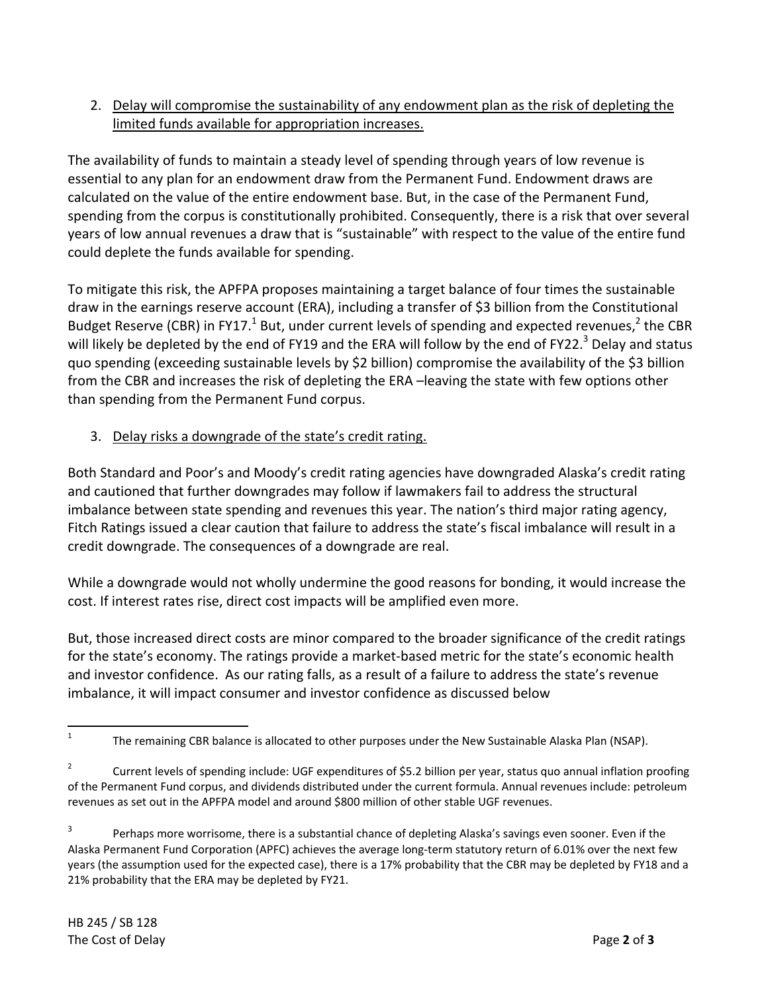## 2. Delay will compromise the sustainability of any endowment plan as the risk of depleting the limited funds available for appropriation increases.

The availability of funds to maintain a steady level of spending through years of low revenue is essential to any plan for an endowment draw from the Permanent Fund. Endowment draws are calculated on the value of the entire endowment base. But, in the case of the Permanent Fund, spending from the corpus is constitutionally prohibited. Consequently, there is a risk that over several years of low annual revenues a draw that is "sustainable" with respect to the value of the entire fund could deplete the funds available for spending.

To mitigate this risk, the APFPA proposes maintaining a target balance of four times the sustainable draw in the earnings reserve account (ERA), including a transfer of \$3 billion from the Constitutional Budget Reserve (CBR) in FY17.<sup>1</sup> But, under current levels of spending and expected revenues,<sup>2</sup> the CBR will likely be depleted by the end of FY19 and the ERA will follow by the end of FY22.<sup>3</sup> Delay and status quo spending (exceeding sustainable levels by \$2 billion) compromise the availability of the \$3 billion from the CBR and increases the risk of depleting the ERA –leaving the state with few options other than spending from the Permanent Fund corpus.

### 3. Delay risks a downgrade of the state's credit rating.

Both Standard and Poor's and Moody's credit rating agencies have downgraded Alaska's credit rating and cautioned that further downgrades may follow if lawmakers fail to address the structural imbalance between state spending and revenues this year. The nation's third major rating agency, Fitch Ratings issued a clear caution that failure to address the state's fiscal imbalance will result in a credit downgrade. The consequences of a downgrade are real.

While a downgrade would not wholly undermine the good reasons for bonding, it would increase the cost. If interest rates rise, direct cost impacts will be amplified even more.

But, those increased direct costs are minor compared to the broader significance of the credit ratings for the state's economy. The ratings provide a market‐based metric for the state's economic health and investor confidence. As our rating falls, as a result of a failure to address the state's revenue imbalance, it will impact consumer and investor confidence as discussed below

 1 The remaining CBR balance is allocated to other purposes under the New Sustainable Alaska Plan (NSAP).

<sup>2</sup> Current levels of spending include: UGF expenditures of \$5.2 billion per year, status quo annual inflation proofing of the Permanent Fund corpus, and dividends distributed under the current formula. Annual revenues include: petroleum revenues as set out in the APFPA model and around \$800 million of other stable UGF revenues.

<sup>3</sup> Perhaps more worrisome, there is a substantial chance of depleting Alaska's savings even sooner. Even if the Alaska Permanent Fund Corporation (APFC) achieves the average long‐term statutory return of 6.01% over the next few years (the assumption used for the expected case), there is a 17% probability that the CBR may be depleted by FY18 and a 21% probability that the ERA may be depleted by FY21.